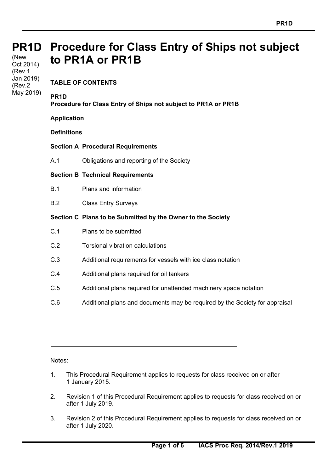#### **PR1D Procedure for Class Entry of Ships not subject PR1D**  (New **to PR1A or PR1B**  Oct 2014) (Rev.1

**TABLE OF CONTENTS** 

## **PR1D**

Jan 2019) (Rev.2 May 2019)

**Procedure for Class Entry of Ships not subject to PR1A or PR1B** 

#### **Application**

**Definitions** 

# **Section A Procedural Requirements**

A.1 Obligations and reporting of the Society

### **Section B Technical Requirements**

- B.1 Plans and information
- B.2 Class Entry Surveys

### **Section C Plans to be Submitted by the Owner to the Society**

- C.1 Plans to be submitted
- C.2 Torsional vibration calculations
- C.3 Additional requirements for vessels with ice class notation
- C.4 Additional plans required for oil tankers
- C.5 Additional plans required for unattended machinery space notation
- C.6 Additional plans and documents may be required by the Society for appraisal

Notes:

 $\overline{a}$ 

- 1. This Procedural Requirement applies to requests for class received on or after 1 January 2015.
- 2. Revision 1 of this Procedural Requirement applies to requests for class received on or after 1 July 2019.
- 3. Revision 2 of this Procedural Requirement applies to requests for class received on or after 1 July 2020.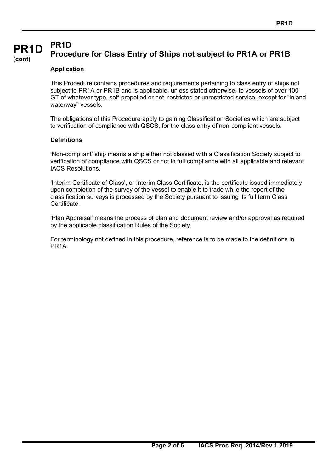#### **PR1D PR1D Procedure for Class Entry of Ships not subject to PR1A or PR1B**

#### **(cont)**

# **Application**

This Procedure contains procedures and requirements pertaining to class entry of ships not subject to PR1A or PR1B and is applicable, unless stated otherwise, to vessels of over 100 GT of whatever type, self-propelled or not, restricted or unrestricted service, except for "inland waterway" vessels.

The obligations of this Procedure apply to gaining Classification Societies which are subject to verification of compliance with QSCS, for the class entry of non-compliant vessels.

#### **Definitions**

 $\overline{a}$ 

'Non-compliant' ship means a ship either not classed with a Classification Society subject to verification of compliance with QSCS or not in full compliance with all applicable and relevant IACS Resolutions.

'Interim Certificate of Class', or Interim Class Certificate, is the certificate issued immediately upon completion of the survey of the vessel to enable it to trade while the report of the classification surveys is processed by the Society pursuant to issuing its full term Class Certificate.

'Plan Appraisal' means the process of plan and document review and/or approval as required by the applicable classification Rules of the Society.

For terminology not defined in this procedure, reference is to be made to the definitions in PR<sub>1</sub>A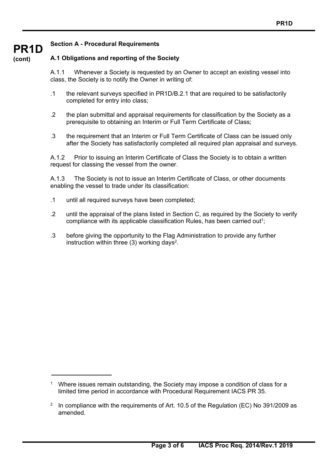#### **Section A - Procedural Requirements**

#### **(cont) A.1 Obligations and reporting of the Society**

**PR1D** 

 $\overline{a}$ 

A.1.1 Whenever a Society is requested by an Owner to accept an existing vessel into class, the Society is to notify the Owner in writing of:

- .1 the relevant surveys specified in PR1D/B.2.1 that are required to be satisfactorily completed for entry into class;
- .2 the plan submittal and appraisal requirements for classification by the Society as a prerequisite to obtaining an Interim or Full Term Certificate of Class;
- .3 the requirement that an Interim or Full Term Certificate of Class can be issued only after the Society has satisfactorily completed all required plan appraisal and surveys.

A.1.2 Prior to issuing an Interim Certificate of Class the Society is to obtain a written request for classing the vessel from the owner.

A.1.3 The Society is not to issue an Interim Certificate of Class, or other documents enabling the vessel to trade under its classification:

- .1 until all required surveys have been completed;
- .2 until the appraisal of the plans listed in Section C, as required by the Society to verify compliance with its applicable classification Rules, has been carried out<sup>1</sup>;
- .3 before giving the opportunity to the Flag Administration to provide any further instruction within three (3) working days<sup>2</sup>.

j 1 Where issues remain outstanding, the Society may impose a condition of class for a limited time period in accordance with Procedural Requirement IACS PR 35.

<sup>&</sup>lt;sup>2</sup> In compliance with the requirements of Art. 10.5 of the Regulation (EC) No 391/2009 as amended.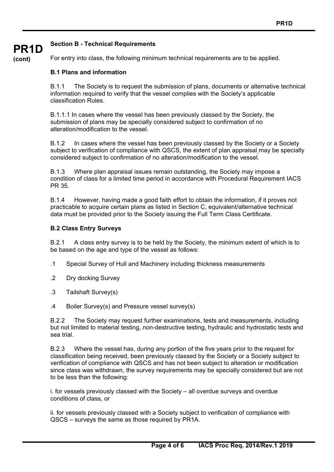#### **Section B - Technical Requirements**

**(cont)**

**PR1D** 

For entry into class, the following minimum technical requirements are to be applied.

#### **B.1 Plans and information**

B.1.1 The Society is to request the submission of plans, documents or alternative technical information required to verify that the vessel complies with the Society's applicable classification Rules.

B.1.1.1 In cases where the vessel has been previously classed by the Society, the submission of plans may be specially considered subject to confirmation of no alteration/modification to the vessel.

B.1.2 In cases where the vessel has been previously classed by the Society or a Society subject to verification of compliance with QSCS, the extent of plan appraisal may be specially considered subject to confirmation of no alteration/modification to the vessel.

B.1.3 Where plan appraisal issues remain outstanding, the Society may impose a condition of class for a limited time period in accordance with Procedural Requirement IACS PR 35.

B.1.4 However, having made a good faith effort to obtain the information, if it proves not practicable to acquire certain plans as listed in Section C, equivalent/alternative technical data must be provided prior to the Society issuing the Full Term Class Certificate.

#### **B.2 Class Entry Surveys**

B.2.1 A class entry survey is to be held by the Society, the minimum extent of which is to be based on the age and type of the vessel as follows:

- .1 Special Survey of Hull and Machinery including thickness measurements
- .2 Dry docking Survey
- .3 Tailshaft Survey(s)

 $\overline{a}$ 

.4 Boiler Survey(s) and Pressure vessel survey(s)

B.2.2 The Society may request further examinations, tests and measurements, including but not limited to material testing, non-destructive testing, hydraulic and hydrostatic tests and sea trial.

B.2.3 Where the vessel has, during any portion of the five years prior to the request for classification being received, been previously classed by the Society or a Society subject to verification of compliance with QSCS and has not been subject to alteration or modification since class was withdrawn, the survey requirements may be specially considered but are not to be less than the following:

i. for vessels previously classed with the Society – all overdue surveys and overdue conditions of class, or

ii. for vessels previously classed with a Society subject to verification of compliance with QSCS – surveys the same as those required by PR1A.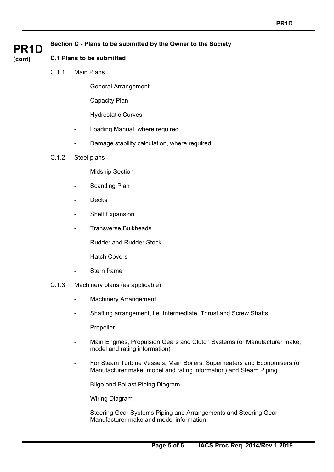#### **Section C - Plans to be submitted by the Owner to the Society**

# **PR1D (cont)**

#### **C.1 Plans to be submitted**

- C.1.1 Main Plans
	- General Arrangement
	- Capacity Plan
	- Hydrostatic Curves
	- Loading Manual, where required
	- Damage stability calculation, where required

#### C.1.2 Steel plans

- Midship Section
- Scantling Plan
- **Decks**
- Shell Expansion
- Transverse Bulkheads
- Rudder and Rudder Stock
- **Hatch Covers**
- Stern frame
- C.1.3 Machinery plans (as applicable)
	- Machinery Arrangement
	- Shafting arrangement, i.e. Intermediate, Thrust and Screw Shafts
	- **Propeller**
	- Main Engines, Propulsion Gears and Clutch Systems (or Manufacturer make, model and rating information)
	- For Steam Turbine Vessels, Main Boilers, Superheaters and Economisers (or Manufacturer make, model and rating information) and Steam Piping
	- Bilge and Ballast Piping Diagram
	- **Wiring Diagram**

 $\overline{a}$ 

 - Steering Gear Systems Piping and Arrangements and Steering Gear Manufacturer make and model information